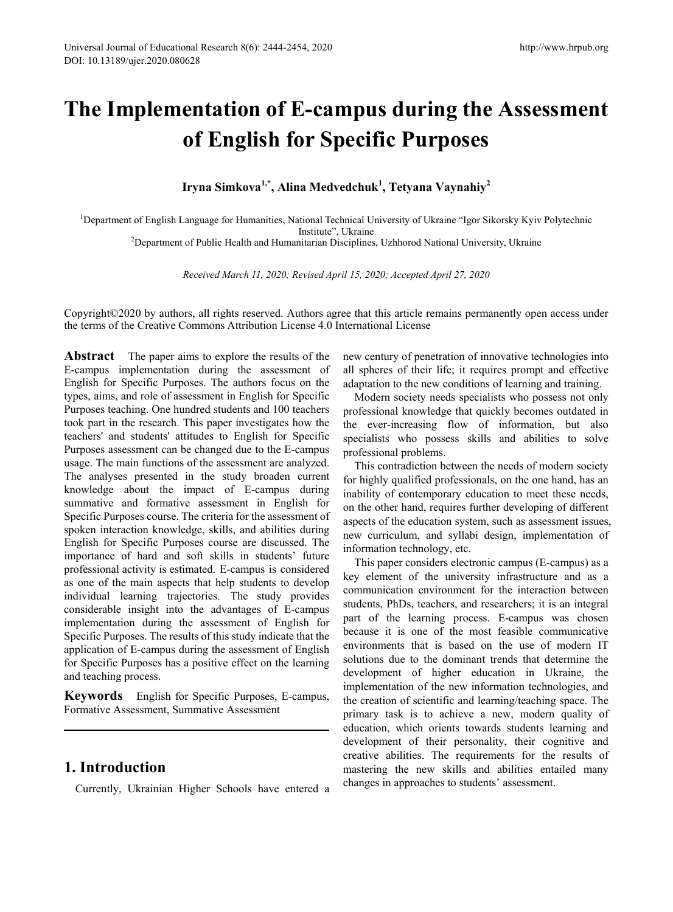# **The Implementation of E-campus during the Assessment of English for Specific Purposes**

**Iryna Simkova1,\*, Alina Medvedchuk1 , Tetyana Vaynahiy2** 

1 Department of English Language for Humanities, National Technical University of Ukraine "Igor Sikorsky Kyiv Polytechnic Institute", Ukraine<br>2 Department of Public Health and Humanitarian Disciplines, Uzhhorod National University, Ukraine<sup>2</sup>

*Received March 11, 2020; Revised April 15, 2020; Accepted April 27, 2020*

Copyright©2020 by authors, all rights reserved. Authors agree that this article remains permanently open access under the terms of the Creative Commons Attribution License 4.0 International License

**Abstract** The paper aims to explore the results of the E-campus implementation during the assessment of English for Specific Purposes. The authors focus on the types, aims, and role of assessment in English for Specific Purposes teaching. One hundred students and 100 teachers took part in the research. This paper investigates how the teachers' and students' attitudes to English for Specific Purposes assessment can be changed due to the E-campus usage. The main functions of the assessment are analyzed. The analyses presented in the study broaden current knowledge about the impact of E-campus during summative and formative assessment in English for Specific Purposes course. The criteria for the assessment of spoken interaction knowledge, skills, and abilities during English for Specific Purposes course are discussed. The importance of hard and soft skills in students' future professional activity is estimated. E-campus is considered as one of the main aspects that help students to develop individual learning trajectories. The study provides considerable insight into the advantages of E-campus implementation during the assessment of English for Specific Purposes. The results of this study indicate that the application of E-campus during the assessment of English for Specific Purposes has a positive effect on the learning and teaching process.

**Keywords** English for Specific Purposes, E-campus, Formative Assessment, Summative Assessment

## **1. Introduction**

Currently, Ukrainian Higher Schools have entered a

new century of penetration of innovative technologies into all spheres of their life; it requires prompt and effective adaptation to the new conditions of learning and training.

Modern society needs specialists who possess not only professional knowledge that quickly becomes outdated in the ever-increasing flow of information, but also specialists who possess skills and abilities to solve professional problems.

This contradiction between the needs of modern society for highly qualified professionals, on the one hand, has an inability of contemporary education to meet these needs, on the other hand, requires further developing of different aspects of the education system, such as assessment issues, new curriculum, and syllabi design, implementation of information technology, etc.

This paper considers electronic campus (E-campus) as a key element of the university infrastructure and as a communication environment for the interaction between students, PhDs, teachers, and researchers; it is an integral part of the learning process. E-campus was chosen because it is one of the most feasible communicative environments that is based on the use of modern IT solutions due to the dominant trends that determine the development of higher education in Ukraine, the implementation of the new information technologies, and the creation of scientific and learning/teaching space. The primary task is to achieve a new, modern quality of education, which orients towards students learning and development of their personality, their cognitive and creative abilities. The requirements for the results of mastering the new skills and abilities entailed many changes in approaches to students' assessment.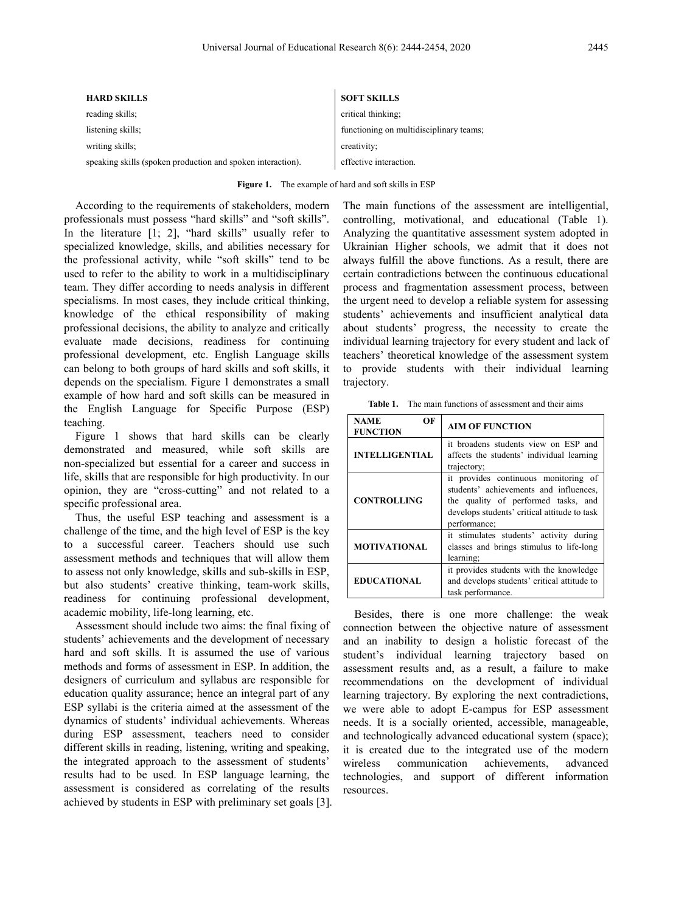| <b>HARD SKILLS</b>                                          | <b>SOFT SKILLS</b>                      |
|-------------------------------------------------------------|-----------------------------------------|
| reading skills;                                             | critical thinking;                      |
| listening skills;                                           | functioning on multidisciplinary teams; |
| writing skills:                                             | creativity;                             |
| speaking skills (spoken production and spoken interaction). | effective interaction.                  |

| Figure 1. | The example of hard and soft skills in ESP |  |  |  |
|-----------|--------------------------------------------|--|--|--|
|-----------|--------------------------------------------|--|--|--|

According to the requirements of stakeholders, modern professionals must possess "hard skills" and "soft skills". In the literature [1; 2], "hard skills" usually refer to specialized knowledge, skills, and abilities necessary for the professional activity, while "soft skills" tend to be used to refer to the ability to work in a multidisciplinary team. They differ according to needs analysis in different specialisms. In most cases, they include critical thinking, knowledge of the ethical responsibility of making professional decisions, the ability to analyze and critically evaluate made decisions, readiness for continuing professional development, etc. English Language skills can belong to both groups of hard skills and soft skills, it depends on the specialism. Figure 1 demonstrates a small example of how hard and soft skills can be measured in the English Language for Specific Purpose (ESP) teaching.

Figure 1 shows that hard skills can be clearly demonstrated and measured, while soft skills are non-specialized but essential for a career and success in life, skills that are responsible for high productivity. In our opinion, they are "cross-cutting" and not related to a specific professional area.

Thus, the useful ESP teaching and assessment is a challenge of the time, and the high level of ESP is the key to a successful career. Teachers should use such assessment methods and techniques that will allow them to assess not only knowledge, skills and sub-skills in ESP, but also students' creative thinking, team-work skills, readiness for continuing professional development, academic mobility, life-long learning, etc.

Assessment should include two aims: the final fixing of students' achievements and the development of necessary hard and soft skills. It is assumed the use of various methods and forms of assessment in ESP. In addition, the designers of curriculum and syllabus are responsible for education quality assurance; hence an integral part of any ESP syllabi is the criteria aimed at the assessment of the dynamics of students' individual achievements. Whereas during ESP assessment, teachers need to consider different skills in reading, listening, writing and speaking, the integrated approach to the assessment of students' results had to be used. In ESP language learning, the assessment is considered as correlating of the results achieved by students in ESP with preliminary set goals [3]. The main functions of the assessment are intelligential, controlling, motivational, and educational (Table 1). Analyzing the quantitative assessment system adopted in Ukrainian Higher schools, we admit that it does not always fulfill the above functions. As a result, there are certain contradictions between the continuous educational process and fragmentation assessment process, between the urgent need to develop a reliable system for assessing students' achievements and insufficient analytical data about students' progress, the necessity to create the individual learning trajectory for every student and lack of teachers' theoretical knowledge of the assessment system to provide students with their individual learning trajectory.

**Table 1.** The main functions of assessment and their aims

| OF<br><b>NAME</b><br><b>FUNCTION</b> | <b>AIM OF FUNCTION</b>                                                                                                                                                                |
|--------------------------------------|---------------------------------------------------------------------------------------------------------------------------------------------------------------------------------------|
| <b>INTELLIGENTIAL</b>                | it broadens students view on ESP and<br>affects the students' individual learning<br>trajectory;                                                                                      |
| <b>CONTROLLING</b>                   | it provides continuous monitoring of<br>students' achievements and influences,<br>the quality of performed tasks, and<br>develops students' critical attitude to task<br>performance; |
| <b>MOTIVATIONAL</b>                  | it stimulates students' activity during<br>classes and brings stimulus to life-long<br>learning;                                                                                      |
| <b>EDUCATIONAL</b>                   | it provides students with the knowledge<br>and develops students' critical attitude to<br>task performance.                                                                           |

Besides, there is one more challenge: the weak connection between the objective nature of assessment and an inability to design a holistic forecast of the student's individual learning trajectory based on assessment results and, as a result, a failure to make recommendations on the development of individual learning trajectory. By exploring the next contradictions, we were able to adopt E-campus for ESP assessment needs. It is a socially oriented, accessible, manageable, and technologically advanced educational system (space); it is created due to the integrated use of the modern wireless communication achievements, advanced technologies, and support of different information resources.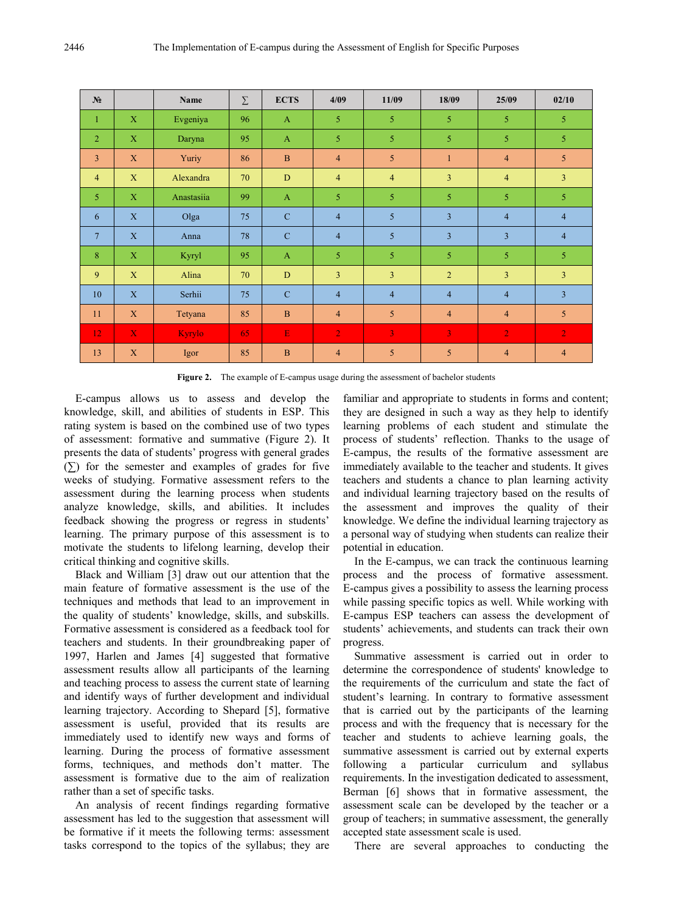| $N_2$          |              | Name          | $\Sigma$ | <b>ECTS</b>  | 4/09           | 11/09          | 18/09          | 25/09          | 02/10          |
|----------------|--------------|---------------|----------|--------------|----------------|----------------|----------------|----------------|----------------|
| $\mathbf{1}$   | X            | Evgeniya      | 96       | $\mathbf{A}$ | 5 <sup>5</sup> | 5              | 5              | 5 <sup>5</sup> | 5              |
| $\overline{2}$ | $\mathbf X$  | Daryna        | 95       | $\mathbf{A}$ | 5 <sup>5</sup> | 5              | 5              | 5 <sup>5</sup> | 5              |
| 3              | X            | Yuriy         | 86       | $\, {\bf B}$ | $\overline{4}$ | 5              | $\mathbf{1}$   | $\overline{4}$ | 5              |
| $\overline{4}$ | X            | Alexandra     | 70       | D            | $\overline{4}$ | $\overline{4}$ | $\overline{3}$ | $\overline{4}$ | $\overline{3}$ |
| 5              | $\mathbf X$  | Anastasiia    | 99       | $\mathbf{A}$ | 5              | 5              | 5              | $\mathfrak{s}$ | 5              |
| 6              | $\mathbf{X}$ | Olga          | 75       | $\mathbf C$  | $\overline{4}$ | 5              | $\overline{3}$ | $\overline{4}$ | $\overline{4}$ |
| $\overline{7}$ | $\mathbf X$  | Anna          | 78       | $\mathbf C$  | $\overline{4}$ | 5              | $\overline{3}$ | $\overline{3}$ | $\overline{4}$ |
| 8              | $\mathbf X$  | Kyryl         | 95       | $\mathbf{A}$ | $\mathfrak{S}$ | 5              | $\mathfrak{S}$ | 5              | 5              |
| 9              | X            | Alina         | 70       | D            | $\overline{3}$ | 3              | $\overline{2}$ | $\overline{3}$ | $\overline{3}$ |
| 10             | $\mathbf X$  | Serhii        | 75       | $\mathbf C$  | $\overline{4}$ | $\overline{4}$ | $\overline{4}$ | $\overline{4}$ | 3              |
| 11             | X            | Tetyana       | 85       | $\, {\bf B}$ | $\overline{4}$ | 5              | $\overline{4}$ | $\overline{4}$ | 5              |
| 12             | $\mathbf{X}$ | <b>Kyrylo</b> | 65       | $\mathbf E$  | $\overline{2}$ | $\overline{3}$ | 3 <sup>1</sup> | $\overline{2}$ | $\overline{2}$ |
| 13             | X            | Igor          | 85       | $\, {\bf B}$ | $\overline{4}$ | 5              | $\mathfrak{S}$ | $\overline{4}$ | $\overline{4}$ |

**Figure 2.** The example of E-campus usage during the assessment of bachelor students

E-campus allows us to assess and develop the knowledge, skill, and abilities of students in ESP. This rating system is based on the combined use of two types of assessment: formative and summative (Figure 2). It presents the data of students' progress with general grades  $(\Sigma)$  for the semester and examples of grades for five weeks of studying. Formative assessment refers to the assessment during the learning process when students analyze knowledge, skills, and abilities. It includes feedback showing the progress or regress in students' learning. The primary purpose of this assessment is to motivate the students to lifelong learning, develop their critical thinking and cognitive skills.

Black and William [3] draw out our attention that the main feature of formative assessment is the use of the techniques and methods that lead to an improvement in the quality of students' knowledge, skills, and subskills. Formative assessment is considered as a feedback tool for teachers and students. In their groundbreaking paper of 1997, Harlen and James [4] suggested that formative assessment results allow all participants of the learning and teaching process to assess the current state of learning and identify ways of further development and individual learning trajectory. According to Shepard [5], formative assessment is useful, provided that its results are immediately used to identify new ways and forms of learning. During the process of formative assessment forms, techniques, and methods don't matter. The assessment is formative due to the aim of realization rather than a set of specific tasks.

An analysis of recent findings regarding formative assessment has led to the suggestion that assessment will be formative if it meets the following terms: assessment tasks correspond to the topics of the syllabus; they are

familiar and appropriate to students in forms and content; they are designed in such a way as they help to identify learning problems of each student and stimulate the process of students' reflection. Thanks to the usage of E-campus, the results of the formative assessment are immediately available to the teacher and students. It gives teachers and students a chance to plan learning activity and individual learning trajectory based on the results of the assessment and improves the quality of their knowledge. We define the individual learning trajectory as a personal way of studying when students can realize their potential in education.

In the E-campus, we can track the continuous learning process and the process of formative assessment. E-campus gives a possibility to assess the learning process while passing specific topics as well. While working with E-campus ESP teachers can assess the development of students' achievements, and students can track their own progress.

Summative assessment is carried out in order to determine the correspondence of students' knowledge to the requirements of the curriculum and state the fact of student's learning. In contrary to formative assessment that is carried out by the participants of the learning process and with the frequency that is necessary for the teacher and students to achieve learning goals, the summative assessment is carried out by external experts following a particular curriculum and syllabus requirements. In the investigation dedicated to assessment, Berman [6] shows that in formative assessment, the assessment scale can be developed by the teacher or a group of teachers; in summative assessment, the generally accepted state assessment scale is used.

There are several approaches to conducting the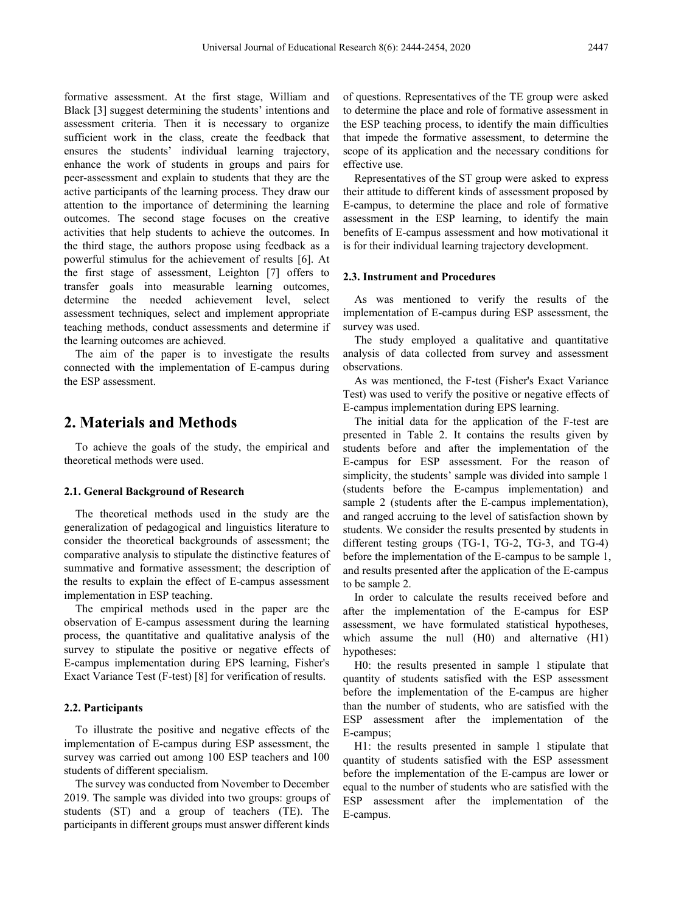formative assessment. At the first stage, William and Black [3] suggest determining the students' intentions and assessment criteria. Then it is necessary to organize sufficient work in the class, create the feedback that ensures the students' individual learning trajectory, enhance the work of students in groups and pairs for peer-assessment and explain to students that they are the active participants of the learning process. They draw our attention to the importance of determining the learning outcomes. The second stage focuses on the creative activities that help students to achieve the outcomes. In the third stage, the authors propose using feedback as a powerful stimulus for the achievement of results [6]. At the first stage of assessment, Leighton [7] offers to transfer goals into measurable learning outcomes, determine the needed achievement level, select assessment techniques, select and implement appropriate teaching methods, conduct assessments and determine if the learning outcomes are achieved.

The aim of the paper is to investigate the results connected with the implementation of E-campus during the ESP assessment.

## **2. Materials and Methods**

To achieve the goals of the study, the empirical and theoretical methods were used.

#### **2.1. General Background of Research**

The theoretical methods used in the study are the generalization of pedagogical and linguistics literature to consider the theoretical backgrounds of assessment; the comparative analysis to stipulate the distinctive features of summative and formative assessment; the description of the results to explain the effect of E-campus assessment implementation in ESP teaching.

The empirical methods used in the paper are the observation of E-campus assessment during the learning process, the quantitative and qualitative analysis of the survey to stipulate the positive or negative effects of E-campus implementation during EPS learning, Fisher's Exact Variance Test (F-test) [8] for verification of results.

#### **2.2. Participants**

To illustrate the positive and negative effects of the implementation of E-campus during ESP assessment, the survey was carried out among 100 ESP teachers and 100 students of different specialism.

The survey was conducted from November to December 2019. The sample was divided into two groups: groups of students (ST) and a group of teachers (TE). The participants in different groups must answer different kinds

of questions. Representatives of the TE group were asked to determine the place and role of formative assessment in the ESP teaching process, to identify the main difficulties that impede the formative assessment, to determine the scope of its application and the necessary conditions for effective use.

Representatives of the ST group were asked to express their attitude to different kinds of assessment proposed by E-campus, to determine the place and role of formative assessment in the ESP learning, to identify the main benefits of E-campus assessment and how motivational it is for their individual learning trajectory development.

#### **2.3. Instrument and Procedures**

As was mentioned to verify the results of the implementation of E-campus during ESP assessment, the survey was used.

The study employed a qualitative and quantitative analysis of data collected from survey and assessment observations.

As was mentioned, the F-test (Fisher's Exact Variance Test) was used to verify the positive or negative effects of E-campus implementation during EPS learning.

The initial data for the application of the F-test are presented in Table 2. It contains the results given by students before and after the implementation of the E-campus for ESP assessment. For the reason of simplicity, the students' sample was divided into sample 1 (students before the E-campus implementation) and sample 2 (students after the E-campus implementation), and ranged accruing to the level of satisfaction shown by students. We consider the results presented by students in different testing groups (TG-1, TG-2, TG-3, and TG-4) before the implementation of the E-campus to be sample 1, and results presented after the application of the E-campus to be sample 2.

In order to calculate the results received before and after the implementation of the E-campus for ESP assessment, we have formulated statistical hypotheses, which assume the null (H0) and alternative (H1) hypotheses:

Н0: the results presented in sample 1 stipulate that quantity of students satisfied with the ESP assessment before the implementation of the E-campus are higher than the number of students, who are satisfied with the ESP assessment after the implementation of the E-campus;

H1: the results presented in sample 1 stipulate that quantity of students satisfied with the ESP assessment before the implementation of the E-campus are lower or equal to the number of students who are satisfied with the ESP assessment after the implementation of the E-campus.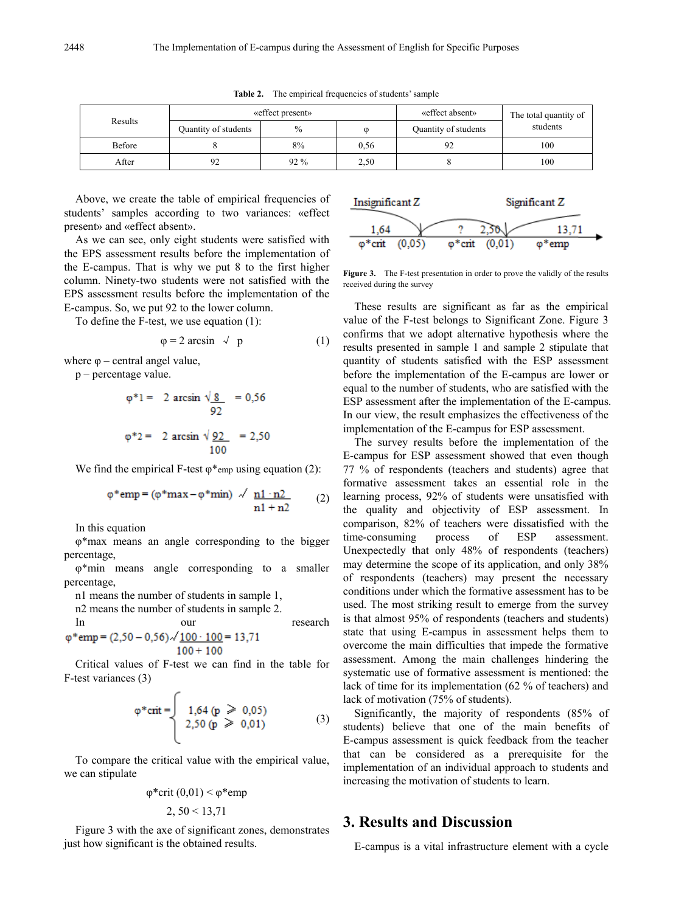**Table 2.** The empirical frequencies of students' sample

| Results |                      | «effect present» | «effect absent» | The total quantity of |          |
|---------|----------------------|------------------|-----------------|-----------------------|----------|
|         | Quantity of students | $\frac{0}{0}$    | $\omega$        | Quantity of students  | students |
| Before  |                      | 8%               | 0.56            | 92                    | 100      |
| After   | 92                   | 92 %             | 2,50            |                       | 100      |

Above, we create the table of empirical frequencies of students' samples according to two variances: «effect present» and «effect absent».

As we can see, only eight students were satisfied with the EPS assessment results before the implementation of the E-campus. That is why we put 8 to the first higher column. Ninety-two students were not satisfied with the EPS assessment results before the implementation of the E-campus. So, we put 92 to the lower column.

To define the F-test, we use equation (1):

$$
\varphi = 2 \arcsin \sqrt{p} \tag{1}
$$

where  $\varphi$  – central angel value,

p – percentage value.

$$
\varphi^*1 = 2 \arcsin \sqrt{\frac{8}{92}} = 0.56
$$
  
\n $\varphi^*2 = 2 \arcsin \sqrt{\frac{92}{100}} = 2.50$ 

We find the empirical F-test  $\varphi^*$ emp using equation (2):

$$
\varphi^* \text{emp} = (\varphi^* \text{max} - \varphi^* \text{min}) \ \sqrt{\frac{n1 \cdot n2}{n1 + n2}} \tag{2}
$$

In this equation

φ\*max means an angle corresponding to the bigger percentage,

φ\*min means angle corresponding to a smaller percentage,

n1 means the number of students in sample 1,

n2 means the number of students in sample 2.

In our research  
\n
$$
\varphi^*
$$
emp = (2,50 – 0,56) $\sqrt{\frac{100 \cdot 100}{100}}$  = 13,71

Critical values of F-test we can find in the table for F-test variances (3)

$$
\varphi^* \text{crit} = \begin{cases} 1,64 \ (\text{p} \geqslant 0,05) \\ 2,50 \ (\text{p} \geqslant 0,01) \end{cases} \tag{3}
$$

To compare the critical value with the empirical value, we can stipulate

$$
\varphi^*\text{crit}(0,01) < \varphi^*\text{emp}
$$
\n
$$
2, 50 < 13,71
$$

Figure 3 with the axe of significant zones, demonstrates just how significant is the obtained results.



Figure 3. The F-test presentation in order to prove the validly of the results received during the survey

These results are significant as far as the empirical value of the F-test belongs to Significant Zone. Figure 3 confirms that we adopt alternative hypothesis where the results presented in sample 1 and sample 2 stipulate that quantity of students satisfied with the ESP assessment before the implementation of the E-campus are lower or equal to the number of students, who are satisfied with the ESP assessment after the implementation of the E-campus. In our view, the result emphasizes the effectiveness of the implementation of the E-campus for ESP assessment.

The survey results before the implementation of the E-campus for ESP assessment showed that even though 77 % of respondents (teachers and students) agree that formative assessment takes an essential role in the learning process, 92% of students were unsatisfied with the quality and objectivity of ESP assessment. In comparison, 82% of teachers were dissatisfied with the time-consuming process of ESP assessment. Unexpectedly that only 48% of respondents (teachers) may determine the scope of its application, and only 38% of respondents (teachers) may present the necessary conditions under which the formative assessment has to be used. The most striking result to emerge from the survey is that almost 95% of respondents (teachers and students) state that using E-campus in assessment helps them to overcome the main difficulties that impede the formative assessment. Among the main challenges hindering the systematic use of formative assessment is mentioned: the lack of time for its implementation (62 % of teachers) and lack of motivation (75% of students).

Significantly, the majority of respondents (85% of students) believe that one of the main benefits of E-campus assessment is quick feedback from the teacher that can be considered as a prerequisite for the implementation of an individual approach to students and increasing the motivation of students to learn.

## **3. Results and Discussion**

E-campus is a vital infrastructure element with a cycle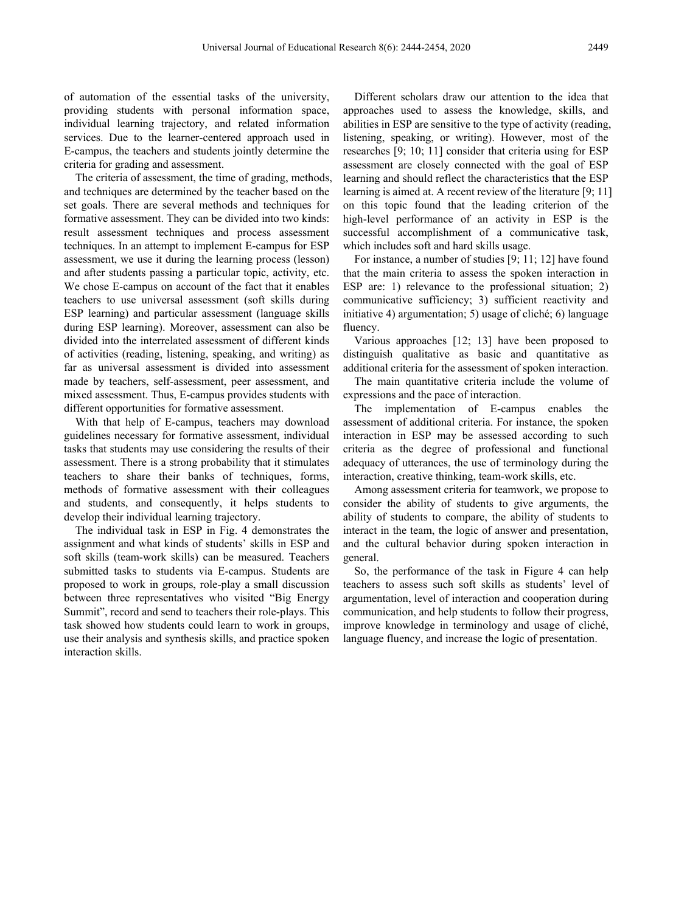of automation of the essential tasks of the university, providing students with personal information space, individual learning trajectory, and related information services. Due to the learner-centered approach used in E-campus, the teachers and students jointly determine the criteria for grading and assessment.

The criteria of assessment, the time of grading, methods, and techniques are determined by the teacher based on the set goals. There are several methods and techniques for formative assessment. They can be divided into two kinds: result assessment techniques and process assessment techniques. In an attempt to implement E-campus for ESP assessment, we use it during the learning process (lesson) and after students passing a particular topic, activity, etc. We chose E-campus on account of the fact that it enables teachers to use universal assessment (soft skills during ESP learning) and particular assessment (language skills during ESP learning). Moreover, assessment can also be divided into the interrelated assessment of different kinds of activities (reading, listening, speaking, and writing) as far as universal assessment is divided into assessment made by teachers, self-assessment, peer assessment, and mixed assessment. Thus, E-campus provides students with different opportunities for formative assessment.

With that help of E-campus, teachers may download guidelines necessary for formative assessment, individual tasks that students may use considering the results of their assessment. There is a strong probability that it stimulates teachers to share their banks of techniques, forms, methods of formative assessment with their colleagues and students, and consequently, it helps students to develop their individual learning trajectory.

The individual task in ESP in Fig. 4 demonstrates the assignment and what kinds of students' skills in ESP and soft skills (team-work skills) can be measured. Teachers submitted tasks to students via E-campus. Students are proposed to work in groups, role-play a small discussion between three representatives who visited "Big Energy Summit", record and send to teachers their role-plays. This task showed how students could learn to work in groups, use their analysis and synthesis skills, and practice spoken interaction skills.

Different scholars draw our attention to the idea that approaches used to assess the knowledge, skills, and abilities in ESP are sensitive to the type of activity (reading, listening, speaking, or writing). However, most of the researches [9; 10; 11] consider that criteria using for ESP assessment are closely connected with the goal of ESP learning and should reflect the characteristics that the ESP learning is aimed at. A recent review of the literature [9; 11] on this topic found that the leading criterion of the high-level performance of an activity in ESP is the successful accomplishment of a communicative task, which includes soft and hard skills usage.

For instance, a number of studies [9; 11; 12] have found that the main criteria to assess the spoken interaction in ESP are: 1) relevance to the professional situation; 2) communicative sufficiency; 3) sufficient reactivity and initiative 4) argumentation; 5) usage of cliché; 6) language fluency.

Various approaches [12; 13] have been proposed to distinguish qualitative as basic and quantitative as additional criteria for the assessment of spoken interaction.

The main quantitative criteria include the volume of expressions and the pace of interaction.

The implementation of E-campus enables the assessment of additional criteria. For instance, the spoken interaction in ESP may be assessed according to such criteria as the degree of professional and functional adequacy of utterances, the use of terminology during the interaction, creative thinking, team-work skills, etc.

Among assessment criteria for teamwork, we propose to consider the ability of students to give arguments, the ability of students to compare, the ability of students to interact in the team, the logic of answer and presentation, and the cultural behavior during spoken interaction in general.

So, the performance of the task in Figure 4 can help teachers to assess such soft skills as students' level of argumentation, level of interaction and cooperation during communication, and help students to follow their progress, improve knowledge in terminology and usage of cliché, language fluency, and increase the logic of presentation.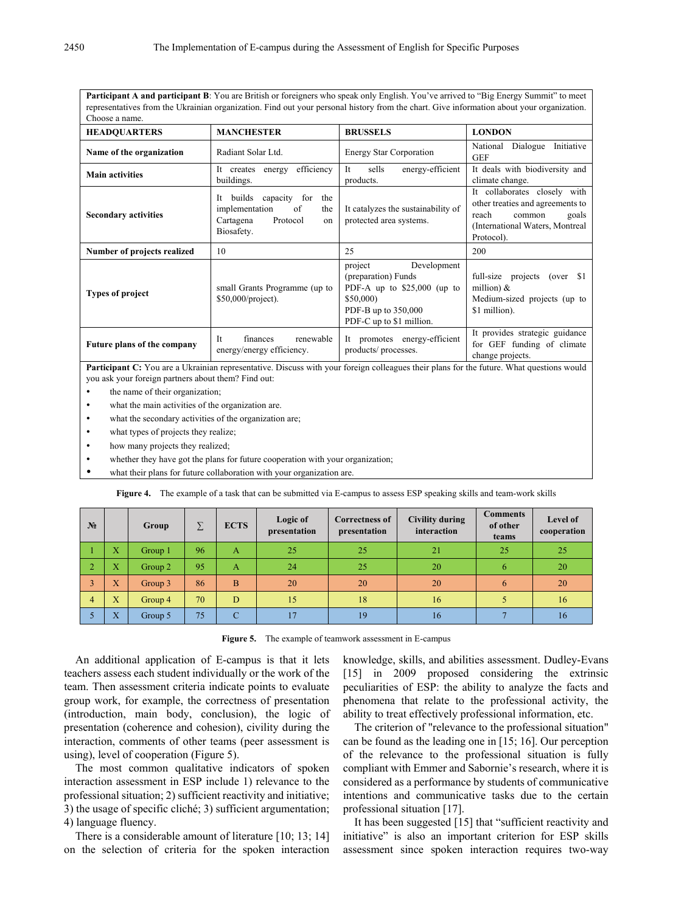Participant A and participant B: You are British or foreigners who speak only English. You've arrived to "Big Energy Summit" to meet representatives from the Ukrainian organization. Find out your personal history from the chart. Give information about your organization. Choose a name.

| Спооѕе а паше.                                                                                 |                                                                                                              |                                                                                                                                               |                                                                                                                                               |  |  |
|------------------------------------------------------------------------------------------------|--------------------------------------------------------------------------------------------------------------|-----------------------------------------------------------------------------------------------------------------------------------------------|-----------------------------------------------------------------------------------------------------------------------------------------------|--|--|
| <b>HEADQUARTERS</b><br><b>MANCHESTER</b>                                                       |                                                                                                              | <b>BRUSSELS</b>                                                                                                                               | <b>LONDON</b>                                                                                                                                 |  |  |
| Name of the organization                                                                       | Radiant Solar Ltd.                                                                                           | <b>Energy Star Corporation</b>                                                                                                                | Dialogue<br>Initiative<br>National<br><b>GEF</b>                                                                                              |  |  |
| <b>Main activities</b>                                                                         | efficiency<br>It creates<br>energy<br>buildings.                                                             | energy-efficient<br>sells<br>It<br>products.                                                                                                  | It deals with biodiversity and<br>climate change.                                                                                             |  |  |
| <b>Secondary activities</b>                                                                    | builds capacity for<br>It<br>the<br>implementation<br>the<br>of<br>Cartagena<br>Protocol<br>on<br>Biosafety. | It catalyzes the sustainability of<br>protected area systems.                                                                                 | It collaborates closely with<br>other treaties and agreements to<br>reach<br>common<br>goals<br>(International Waters, Montreal<br>Protocol). |  |  |
| Number of projects realized                                                                    | 10                                                                                                           | 25                                                                                                                                            | 200                                                                                                                                           |  |  |
| Types of project                                                                               | small Grants Programme (up to<br>$$50,000/project)$ .                                                        | Development<br>project<br>(preparation) Funds<br>PDF-A up to $$25,000$ (up to<br>\$50,000)<br>PDF-B up to 350,000<br>PDF-C up to \$1 million. | full-size projects (over \$1<br>million) $&$<br>Medium-sized projects (up to<br>\$1 million).                                                 |  |  |
| It<br>renewable<br>finances<br><b>Future plans of the company</b><br>energy/energy efficiency. |                                                                                                              | promotes energy-efficient<br>It<br>products/ processes.                                                                                       | It provides strategic guidance<br>for GEF funding of climate<br>change projects.                                                              |  |  |

Participant C: You are a Ukrainian representative. Discuss with your foreign colleagues their plans for the future. What questions would you ask your foreign partners about them? Find out:

- the name of their organization;
- what the main activities of the organization are.
- what the secondary activities of the organization are;
- what types of projects they realize;
- how many projects they realized;
- whether they have got the plans for future cooperation with your organization;
- what their plans for future collaboration with your organization are

| Figure 4. The example of a task that can be submitted via E-campus to assess ESP speaking skills and team-work skills |  |  |
|-----------------------------------------------------------------------------------------------------------------------|--|--|
|-----------------------------------------------------------------------------------------------------------------------|--|--|

| N <sub>2</sub> |                           | Group   |    | <b>ECTS</b>        | Logic of<br>presentation | Correctness of<br>presentation | <b>Civility during</b><br>interaction | <b>Comments</b><br>of other<br>teams | <b>Level of</b><br>cooperation |
|----------------|---------------------------|---------|----|--------------------|--------------------------|--------------------------------|---------------------------------------|--------------------------------------|--------------------------------|
|                | $\mathbf X$               | Group 1 | 96 | A                  | 25                       | 25                             | 21                                    | 25                                   | 25                             |
| $\overline{2}$ | $\mathbf X$               | Group 2 | 95 | A                  | 24                       | 25                             | 20                                    | 6                                    | 20                             |
| 3              | X                         | Group 3 | 86 | $\overline{B}$     | 20                       | 20                             | 20                                    | 6                                    | 20                             |
| $\overline{4}$ | X                         | Group 4 | 70 | D                  | 15                       | 18                             | 16                                    |                                      | 16                             |
|                | $\boldsymbol{\mathrm{X}}$ | Group 5 | 75 | $\curvearrowright$ | 17                       | 19                             | 16                                    |                                      | 16                             |

**Figure 5.** The example of teamwork assessment in E-campus

An additional application of E-campus is that it lets teachers assess each student individually or the work of the team. Then assessment criteria indicate points to evaluate group work, for example, the correctness of presentation (introduction, main body, conclusion), the logic of presentation (coherence and cohesion), civility during the interaction, comments of other teams (peer assessment is using), level of cooperation (Figure 5).

The most common qualitative indicators of spoken interaction assessment in ESP include 1) relevance to the professional situation; 2) sufficient reactivity and initiative; 3) the usage of specific cliché; 3) sufficient argumentation; 4) language fluency.

There is a considerable amount of literature [10; 13; 14] on the selection of criteria for the spoken interaction

knowledge, skills, and abilities assessment. Dudley-Evans [15] in 2009 proposed considering the extrinsic peculiarities of ESP: the ability to analyze the facts and phenomena that relate to the professional activity, the ability to treat effectively professional information, etc.

The criterion of "relevance to the professional situation" can be found as the leading one in [15; 16]. Our perception of the relevance to the professional situation is fully compliant with Emmer and Sabornie's research, where it is considered as a performance by students of communicative intentions and communicative tasks due to the certain professional situation [17].

It has been suggested [15] that "sufficient reactivity and initiative" is also an important criterion for ESP skills assessment since spoken interaction requires two-way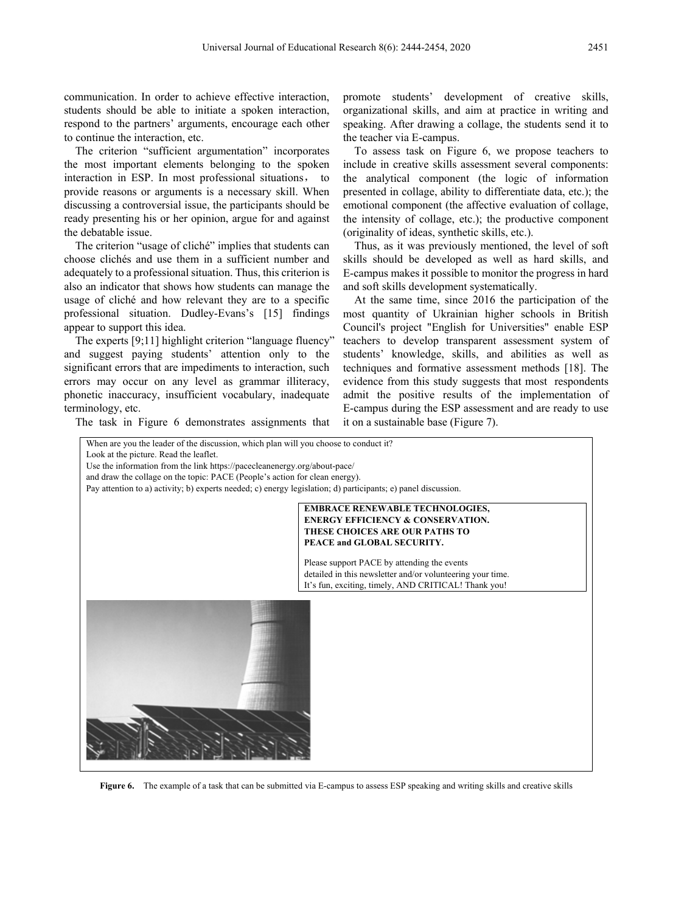communication. In order to achieve effective interaction, students should be able to initiate a spoken interaction, respond to the partners' arguments, encourage each other to continue the interaction, etc.

The criterion "sufficient argumentation" incorporates the most important elements belonging to the spoken interaction in ESP. In most professional situations, to provide reasons or arguments is a necessary skill. When discussing a controversial issue, the participants should be ready presenting his or her opinion, argue for and against the debatable issue.

The criterion "usage of cliché" implies that students can choose clichés and use them in a sufficient number and adequately to a professional situation. Thus, this criterion is also an indicator that shows how students can manage the usage of cliché and how relevant they are to a specific professional situation. Dudley-Evans's [15] findings appear to support this idea.

The experts [9;11] highlight criterion "language fluency" and suggest paying students' attention only to the significant errors that are impediments to interaction, such errors may occur on any level as grammar illiteracy, phonetic inaccuracy, insufficient vocabulary, inadequate terminology, etc.

The task in Figure 6 demonstrates assignments that

promote students' development of creative skills, organizational skills, and aim at practice in writing and speaking. After drawing a collage, the students send it to the teacher via E-campus.

To assess task on Figure 6, we propose teachers to include in creative skills assessment several components: the analytical component (the logic of information presented in collage, ability to differentiate data, etc.); the emotional component (the affective evaluation of collage, the intensity of collage, etc.); the productive component (originality of ideas, synthetic skills, etc.).

Thus, as it was previously mentioned, the level of soft skills should be developed as well as hard skills, and E-campus makes it possible to monitor the progress in hard and soft skills development systematically.

At the same time, since 2016 the participation of the most quantity of Ukrainian higher schools in British Council's project "English for Universities" enable ESP teachers to develop transparent assessment system of students' knowledge, skills, and abilities as well as techniques and formative assessment methods [18]. The evidence from this study suggests that most respondents admit the positive results of the implementation of E-campus during the ESP assessment and are ready to use it on a sustainable base (Figure 7).



**Figure 6.** The example of a task that can be submitted via E-campus to assess ESP speaking and writing skills and creative skills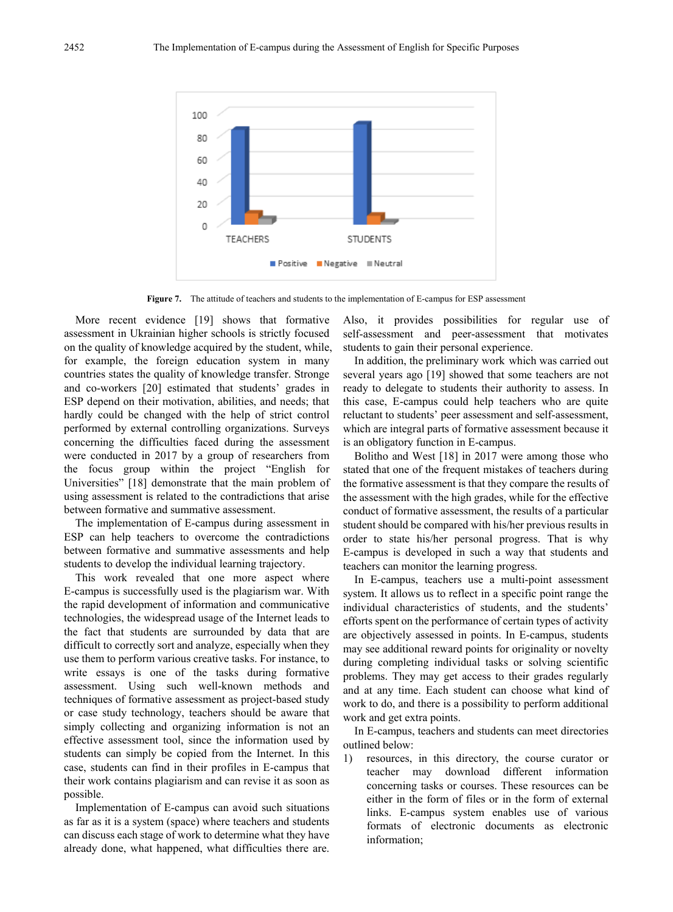

**Figure 7.** The attitude of teachers and students to the implementation of E-campus for ESP assessment

More recent evidence [19] shows that formative assessment in Ukrainian higher schools is strictly focused on the quality of knowledge acquired by the student, while, for example, the foreign education system in many countries states the quality of knowledge transfer. Stronge and co-workers [20] estimated that students' grades in ESP depend on their motivation, abilities, and needs; that hardly could be changed with the help of strict control performed by external controlling organizations. Surveys concerning the difficulties faced during the assessment were conducted in 2017 by a group of researchers from the focus group within the project "English for Universities" [18] demonstrate that the main problem of using assessment is related to the contradictions that arise between formative and summative assessment.

The implementation of E-campus during assessment in ESP can help teachers to overcome the contradictions between formative and summative assessments and help students to develop the individual learning trajectory.

This work revealed that one more aspect where E-campus is successfully used is the plagiarism war. With the rapid development of information and communicative technologies, the widespread usage of the Internet leads to the fact that students are surrounded by data that are difficult to correctly sort and analyze, especially when they use them to perform various creative tasks. For instance, to write essays is one of the tasks during formative assessment. Using such well-known methods and techniques of formative assessment as project-based study or case study technology, teachers should be aware that simply collecting and organizing information is not an effective assessment tool, since the information used by students can simply be copied from the Internet. In this case, students can find in their profiles in E-campus that their work contains plagiarism and can revise it as soon as possible.

Implementation of E-campus can avoid such situations as far as it is a system (space) where teachers and students can discuss each stage of work to determine what they have already done, what happened, what difficulties there are.

Also, it provides possibilities for regular use of self-assessment and peer-assessment that motivates students to gain their personal experience.

In addition, the preliminary work which was carried out several years ago [19] showed that some teachers are not ready to delegate to students their authority to assess. In this case, E-campus could help teachers who are quite reluctant to students' peer assessment and self-assessment, which are integral parts of formative assessment because it is an obligatory function in E-campus.

Bolitho and West [18] in 2017 were among those who stated that one of the frequent mistakes of teachers during the formative assessment is that they compare the results of the assessment with the high grades, while for the effective conduct of formative assessment, the results of a particular student should be compared with his/her previous results in order to state his/her personal progress. That is why E-campus is developed in such a way that students and teachers can monitor the learning progress.

In E-campus, teachers use a multi-point assessment system. It allows us to reflect in a specific point range the individual characteristics of students, and the students' efforts spent on the performance of certain types of activity are objectively assessed in points. In E-campus, students may see additional reward points for originality or novelty during completing individual tasks or solving scientific problems. They may get access to their grades regularly and at any time. Each student can choose what kind of work to do, and there is a possibility to perform additional work and get extra points.

In E-campus, teachers and students can meet directories outlined below:

1) resources, in this directory, the course curator or teacher may download different information concerning tasks or courses. These resources can be either in the form of files or in the form of external links. E-campus system enables use of various formats of electronic documents as electronic information;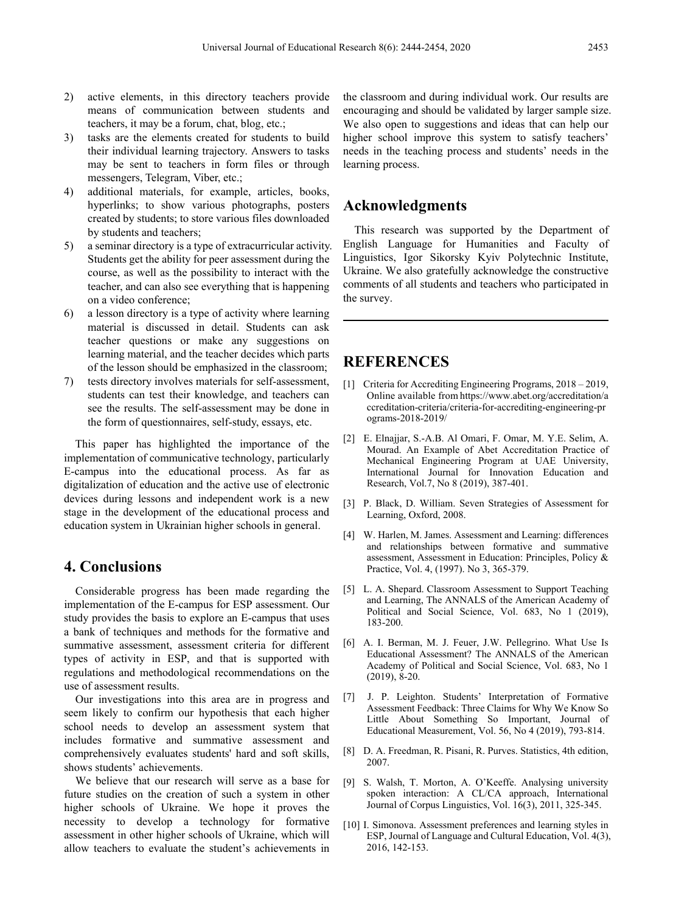- 2) active elements, in this directory teachers provide means of communication between students and teachers, it may be a forum, chat, blog, etc.;
- 3) tasks are the elements created for students to build their individual learning trajectory. Answers to tasks may be sent to teachers in form files or through messengers, Telegram, Viber, etc.;
- 4) additional materials, for example, articles, books, hyperlinks; to show various photographs, posters created by students; to store various files downloaded by students and teachers;
- 5) a seminar directory is a type of extracurricular activity. Students get the ability for peer assessment during the course, as well as the possibility to interact with the teacher, and can also see everything that is happening on a video conference;
- 6) a lesson directory is a type of activity where learning material is discussed in detail. Students can ask teacher questions or make any suggestions on learning material, and the teacher decides which parts of the lesson should be emphasized in the classroom;
- 7) tests directory involves materials for self-assessment, students can test their knowledge, and teachers can see the results. The self-assessment may be done in the form of questionnaires, self-study, essays, etc.

This paper has highlighted the importance of the implementation of communicative technology, particularly E-campus into the educational process. As far as digitalization of education and the active use of electronic devices during lessons and independent work is a new stage in the development of the educational process and education system in Ukrainian higher schools in general.

# **4. Conclusions**

Considerable progress has been made regarding the implementation of the E-campus for ESP assessment. Our study provides the basis to explore an E-campus that uses a bank of techniques and methods for the formative and summative assessment, assessment criteria for different types of activity in ESP, and that is supported with regulations and methodological recommendations on the use of assessment results.

Our investigations into this area are in progress and seem likely to confirm our hypothesis that each higher school needs to develop an assessment system that includes formative and summative assessment and comprehensively evaluates students' hard and soft skills, shows students' achievements.

We believe that our research will serve as a base for future studies on the creation of such a system in other higher schools of Ukraine. We hope it proves the necessity to develop a technology for formative assessment in other higher schools of Ukraine, which will allow teachers to evaluate the student's achievements in

the classroom and during individual work. Our results are encouraging and should be validated by larger sample size. We also open to suggestions and ideas that can help our higher school improve this system to satisfy teachers' needs in the teaching process and students' needs in the learning process.

### **Acknowledgments**

This research was supported by the Department of English Language for Humanities and Faculty of Linguistics, Igor Sikorsky Kyiv Polytechnic Institute, Ukraine. We also gratefully acknowledge the constructive comments of all students and teachers who participated in the survey.

# **REFERENCES**

- [1] Criteria for Accrediting Engineering Programs, 2018 2019, Online available from https://www.abet.org/accreditation/a ccreditation-criteria/criteria-for-accrediting-engineering-pr ograms-2018-2019/
- [2] E. Elnajjar, S.-A.B. Al Omari, F. Omar, M. Y.E. Selim, A. Mourad. An Example of Abet Accreditation Practice of Mechanical Engineering Program at UAE University, International Journal for Innovation Education and Research, Vol.7, No 8 (2019), 387-401.
- [3] P. Black, D. William. Seven Strategies of Assessment for Learning, Oxford, 2008.
- [4] W. Harlen, M. James. Assessment and Learning: differences and relationships between formative and summative assessment, Assessment in Education: Principles, Policy & Practice, Vol. 4, (1997). No 3, 365-379.
- [5] L. A. Shepard. Classroom Assessment to Support Teaching and Learning, The ANNALS of the American Academy of Political and Social Science, Vol. 683, No 1 (2019), 183-200.
- [6] A. I. Berman, M. J. Feuer, J.W. Pellegrino. What Use Is Educational Assessment? The ANNALS of the American Academy of Political and Social Science, Vol. 683, No 1 (2019), 8-20.
- [7] J. P. Leighton. Students' Interpretation of Formative Assessment Feedback: Three Claims for Why We Know So Little About Something So Important, Journal of Educational Measurement, Vol. 56, No 4 (2019), 793-814.
- [8] D. A. Freedman, R. Pisani, R. Purves. Statistics, 4th edition, 2007.
- [9] S. Walsh, T. Morton, A. O'Keeffe. Analysing university spoken interaction: A CL/CA approach, International Journal of Corpus Linguistics, Vol. 16(3), 2011, 325-345.
- [10] I. Simonova. Assessment preferences and learning styles in ESP, Journal of Language and Cultural Education, Vol. 4(3), 2016, 142-153.